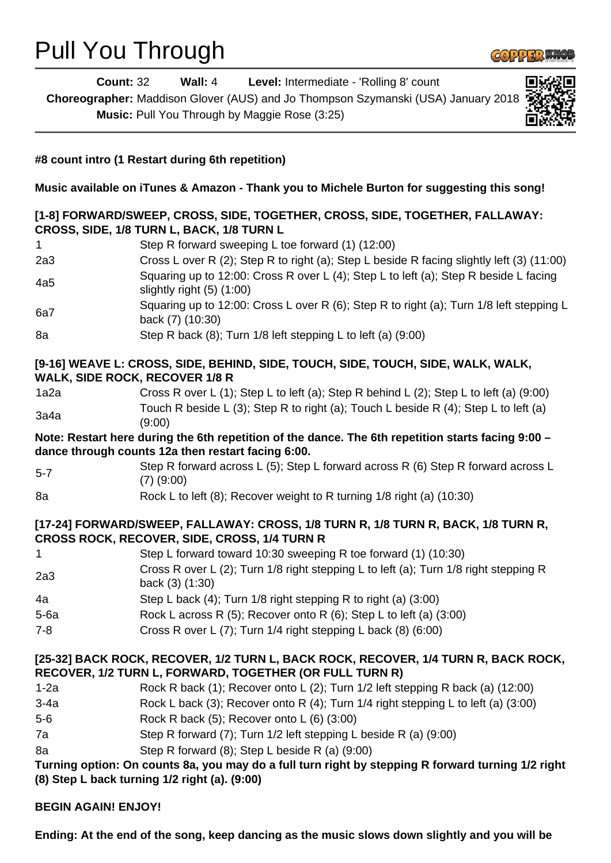## Pull You Through



| <b>Count: 32</b>                      | <b>Wall: 4</b> Level: Intermediate - 'Rolling 8' count                                                                                                   |
|---------------------------------------|----------------------------------------------------------------------------------------------------------------------------------------------------------|
|                                       | Choreographer: Maddison Glover (AUS) and Jo Thompson Szymanski (USA) January 2018                                                                        |
|                                       | Music: Pull You Through by Maggie Rose (3:25)                                                                                                            |
|                                       |                                                                                                                                                          |
|                                       | #8 count intro (1 Restart during 6th repetition)                                                                                                         |
|                                       | Music available on iTunes & Amazon - Thank you to Michele Burton for suggesting this song!                                                               |
|                                       | [1-8] FORWARD/SWEEP, CROSS, SIDE, TOGETHER, CROSS, SIDE, TOGETHER, FALLAWAY:<br>CROSS, SIDE, 1/8 TURN L, BACK, 1/8 TURN L                                |
| 1.                                    | Step R forward sweeping L toe forward (1) (12:00)                                                                                                        |
| 2a3                                   | Cross L over R (2); Step R to right (a); Step L beside R facing slightly left (3) (11:00)                                                                |
| 4a5                                   | Squaring up to 12:00: Cross R over L (4); Step L to left (a); Step R beside L facing<br>slightly right $(5)$ $(1:00)$                                    |
| 6a7                                   | Squaring up to 12:00: Cross L over R (6); Step R to right (a); Turn 1/8 left stepping L<br>back (7) (10:30)                                              |
| 8a                                    | Step R back (8); Turn 1/8 left stepping L to left (a) (9:00)                                                                                             |
| <b>WALK, SIDE ROCK, RECOVER 1/8 R</b> | [9-16] WEAVE L: CROSS, SIDE, BEHIND, SIDE, TOUCH, SIDE, TOUCH, SIDE, WALK, WALK,                                                                         |
| 1a2a                                  | Cross R over L (1); Step L to left (a); Step R behind L (2); Step L to left (a) (9:00)                                                                   |
| 3a4a                                  | Touch R beside L (3); Step R to right (a); Touch L beside R (4); Step L to left (a)<br>(9:00)                                                            |
|                                       | Note: Restart here during the 6th repetition of the dance. The 6th repetition starts facing 9:00 -<br>dance through counts 12a then restart facing 6:00. |
| $5 - 7$                               | Step R forward across L (5); Step L forward across R (6) Step R forward across L<br>$(7)$ $(9:00)$                                                       |
| 8a                                    | Rock L to left (8); Recover weight to R turning 1/8 right (a) (10:30)                                                                                    |
|                                       | [17-24] FORWARD/SWEEP, FALLAWAY: CROSS, 1/8 TURN R, 1/8 TURN R, BACK, 1/8 TURN R,<br><b>CROSS ROCK, RECOVER, SIDE, CROSS, 1/4 TURN R</b>                 |
| 1                                     | Step L forward toward 10:30 sweeping R toe forward (1) (10:30)                                                                                           |
| 2a3                                   | Cross R over L (2); Turn 1/8 right stepping L to left (a); Turn 1/8 right stepping R<br>back (3) (1:30)                                                  |
| 4a                                    | Step L back (4); Turn 1/8 right stepping R to right (a) (3:00)                                                                                           |
| $5-6a$                                | Rock L across R (5); Recover onto R (6); Step L to left (a) (3:00)                                                                                       |
| $7 - 8$                               | Cross R over L (7); Turn 1/4 right stepping L back (8) (6:00)                                                                                            |
|                                       | [25-32] BACK ROCK, RECOVER, 1/2 TURN L, BACK ROCK, RECOVER, 1/4 TURN R, BACK ROCK,<br>RECOVER, 1/2 TURN L, FORWARD, TOGETHER (OR FULL TURN R)            |
| $1-2a$                                | Rock R back (1); Recover onto L (2); Turn 1/2 left stepping R back (a) (12:00)                                                                           |
| $3-4a$                                | Rock L back (3); Recover onto R (4); Turn 1/4 right stepping L to left (a) (3:00)                                                                        |
| $5-6$                                 | Rock R back (5); Recover onto L (6) (3:00)                                                                                                               |
| 7a                                    | Step R forward (7); Turn 1/2 left stepping L beside R (a) (9:00)                                                                                         |
| 8a                                    | Step R forward (8); Step L beside R (a) (9:00)                                                                                                           |
|                                       | Turning option: On counts 8a, you may do a full turn right by stepping R forward turning 1/2 right<br>(8) Step L back turning 1/2 right (a). (9:00)      |
| <b>BEGIN AGAIN! ENJOY!</b>            |                                                                                                                                                          |

**Ending: At the end of the song, keep dancing as the music slows down slightly and you will be**